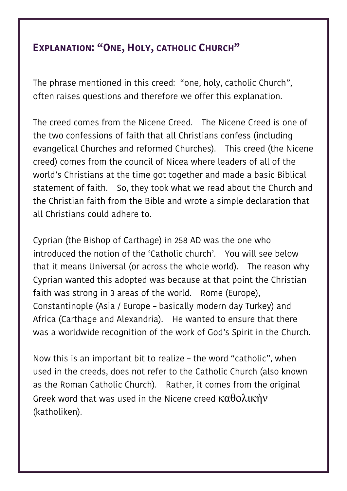## **EXPLANATION: "ONE, HOLY, CATHOLIC CHURCH"**

The phrase mentioned in this creed: "one, holy, catholic Church", often raises questions and therefore we offer this explanation.

The creed comes from the Nicene Creed. The Nicene Creed is one of the two confessions of faith that all Christians confess (including evangelical Churches and reformed Churches). This creed (the Nicene creed) comes from the council of Nicea where leaders of all of the world's Christians at the time got together and made a basic Biblical statement of faith. So, they took what we read about the Church and the Christian faith from the Bible and wrote a simple declaration that all Christians could adhere to.

Cyprian (the Bishop of Carthage) in 258 AD was the one who introduced the notion of the 'Catholic church'. You will see below that it means Universal (or across the whole world). The reason why Cyprian wanted this adopted was because at that point the Christian faith was strong in 3 areas of the world. Rome (Europe), Constantinople (Asia / Europe – basically modern day Turkey) and Africa (Carthage and Alexandria). He wanted to ensure that there was a worldwide recognition of the work of God's Spirit in the Church.

Now this is an important bit to realize – the word "catholic", when used in the creeds, does not refer to the Catholic Church (also known as the Roman Catholic Church). Rather, it comes from the original Greek word that was used in the Nicene creed  $\kappa\alpha\theta$ ολικήν (katholiken).